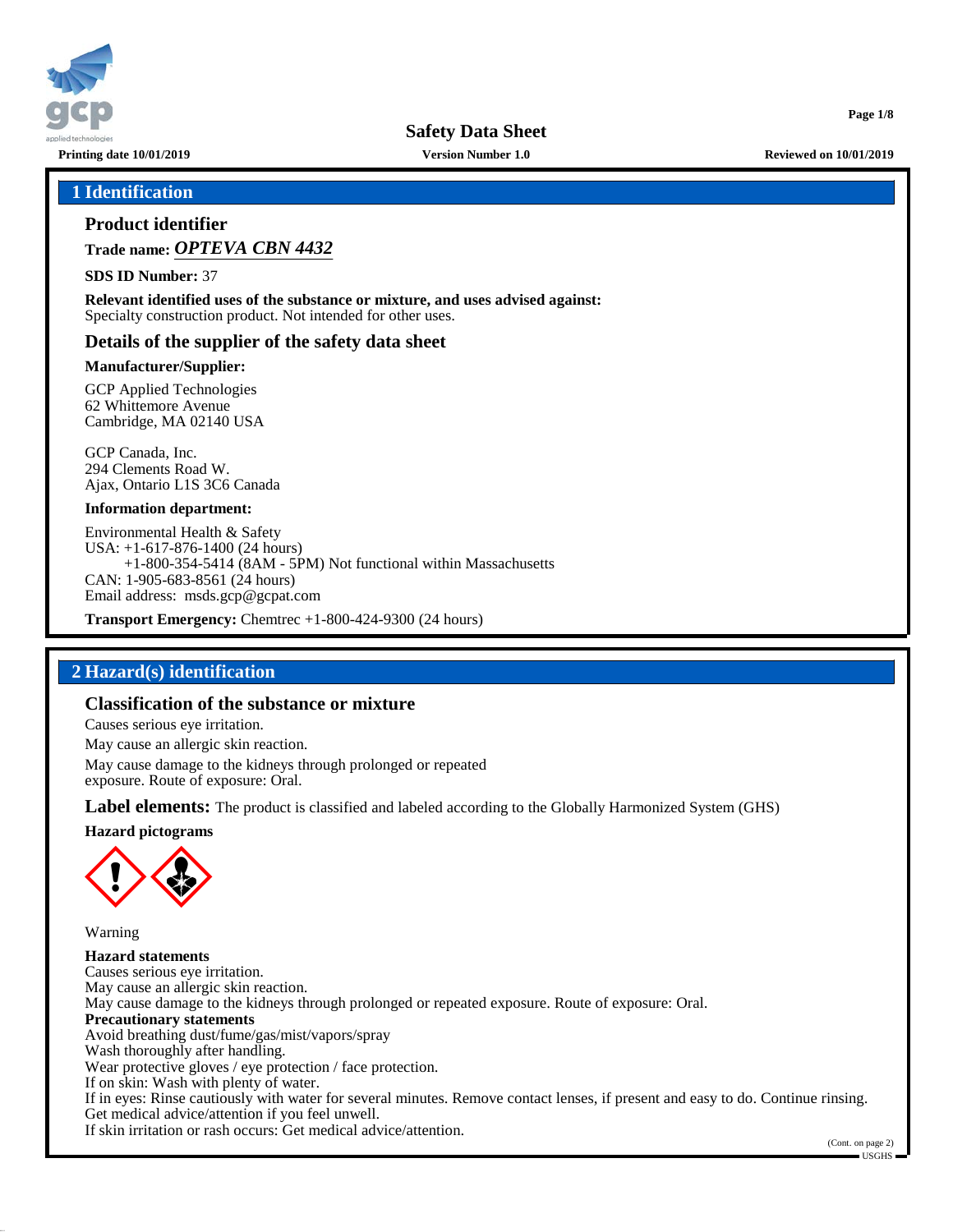

**Printing date 10/01/2019 Version Number 1.0 Reviewed on 10/01/2019**

**Page 1/8**

## **1 Identification**

## **Product identifier**

**Trade name:** *OPTEVA CBN 4432*

**SDS ID Number:** 37

**Relevant identified uses of the substance or mixture, and uses advised against:** Specialty construction product. Not intended for other uses.

## **Details of the supplier of the safety data sheet**

#### **Manufacturer/Supplier:**

GCP Applied Technologies 62 Whittemore Avenue Cambridge, MA 02140 USA

GCP Canada, Inc. 294 Clements Road W. Ajax, Ontario L1S 3C6 Canada

#### **Information department:**

Environmental Health & Safety USA: +1-617-876-1400 (24 hours) +1-800-354-5414 (8AM - 5PM) Not functional within Massachusetts CAN: 1-905-683-8561 (24 hours) Email address: msds.gcp@gcpat.com

**Transport Emergency:** Chemtrec +1-800-424-9300 (24 hours)

## **2 Hazard(s) identification**

## **Classification of the substance or mixture**

Causes serious eye irritation.

May cause an allergic skin reaction.

May cause damage to the kidneys through prolonged or repeated exposure. Route of exposure: Oral.

**Label elements:** The product is classified and labeled according to the Globally Harmonized System (GHS)

**Hazard pictograms**



Warning

**Hazard statements** Causes serious eye irritation. May cause an allergic skin reaction. May cause damage to the kidneys through prolonged or repeated exposure. Route of exposure: Oral. **Precautionary statements** Avoid breathing dust/fume/gas/mist/vapors/spray Wash thoroughly after handling. Wear protective gloves / eye protection / face protection. If on skin: Wash with plenty of water. If in eyes: Rinse cautiously with water for several minutes. Remove contact lenses, if present and easy to do. Continue rinsing. Get medical advice/attention if you feel unwell. If skin irritation or rash occurs: Get medical advice/attention.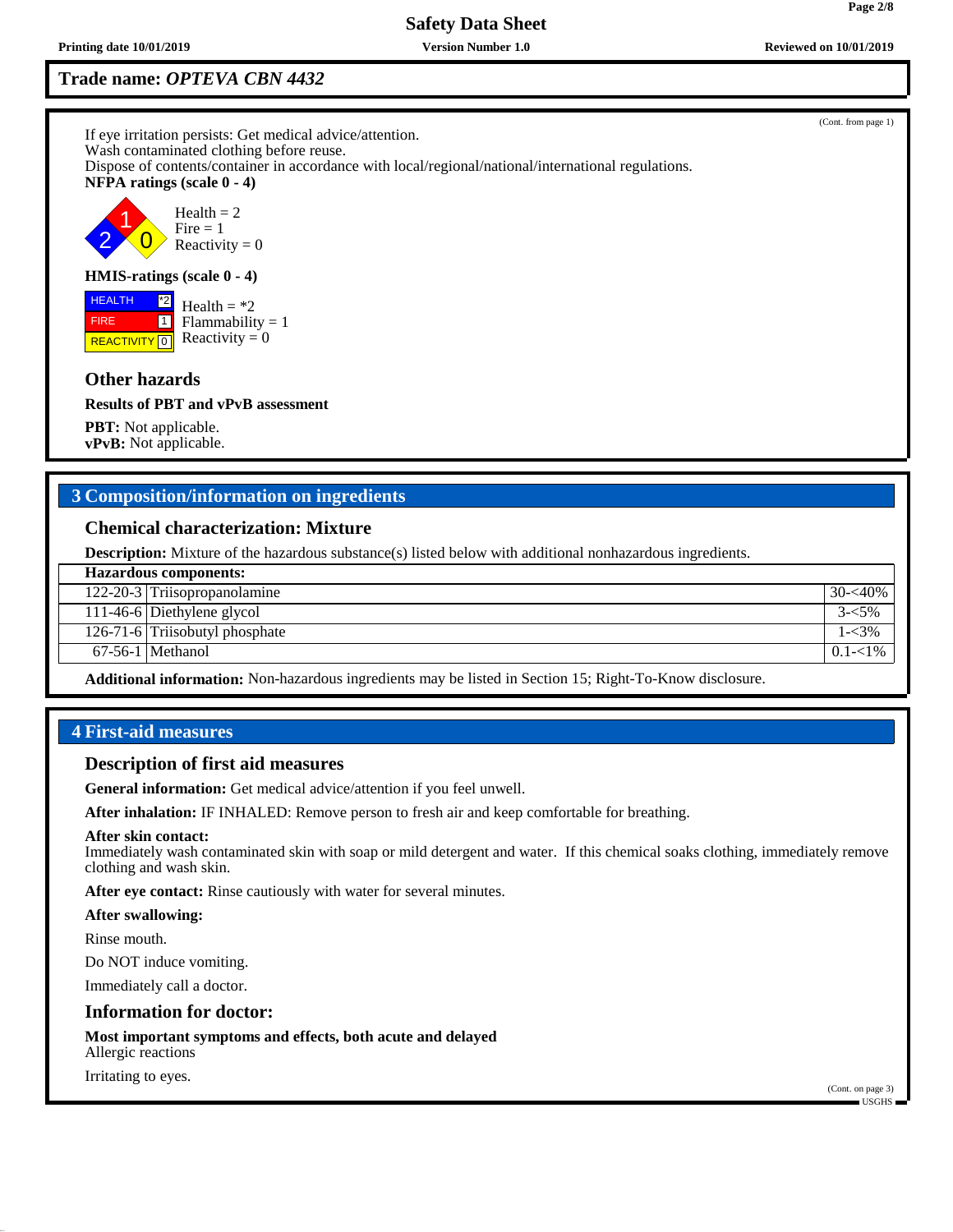# **Trade name:** *OPTEVA CBN 4432*

If eye irritation persists: Get medical advice/attention. Wash contaminated clothing before reuse. Dispose of contents/container in accordance with local/regional/national/international regulations. **NFPA ratings (scale 0 - 4)** 1  $Health = 2$  $Fire = 1$ 

2  $\overline{0}$ Reactivity  $= 0$ 

### **HMIS-ratings (scale 0 - 4)**

**REACTIVITY** 0 \*2  $\boxed{1}$  $Health = *2$  $Flammability = 1$ Reactivity  $= 0$ 

## **Other hazards**

 HEALTH FIRE

**Results of PBT and vPvB assessment**

**PBT:** Not applicable. **vPvB:** Not applicable.

## **3 Composition/information on ingredients**

#### **Chemical characterization: Mixture**

**Description:** Mixture of the hazardous substance(s) listed below with additional nonhazardous ingredients.

| <b>Hazardous components:</b> |                                |             |  |
|------------------------------|--------------------------------|-------------|--|
|                              | 122-20-3 Triisopropanolamine   | $30 - 40\%$ |  |
|                              | 111-46-6 Diethylene glycol     | $3 - 5\%$   |  |
|                              | 126-71-6 Triisobutyl phosphate | $1 - 3\%$   |  |
|                              | $67-56-1$ Methanol             | $0.1 - 1\%$ |  |
|                              | .<br>$ -$                      |             |  |

**Additional information:** Non-hazardous ingredients may be listed in Section 15; Right-To-Know disclosure.

## **4 First-aid measures**

#### **Description of first aid measures**

**General information:** Get medical advice/attention if you feel unwell.

**After inhalation:** IF INHALED: Remove person to fresh air and keep comfortable for breathing.

#### **After skin contact:**

Immediately wash contaminated skin with soap or mild detergent and water. If this chemical soaks clothing, immediately remove clothing and wash skin.

**After eye contact:** Rinse cautiously with water for several minutes.

#### **After swallowing:**

Rinse mouth.

Do NOT induce vomiting.

Immediately call a doctor.

#### **Information for doctor:**

**Most important symptoms and effects, both acute and delayed** Allergic reactions

Irritating to eyes.

(Cont. from page 1)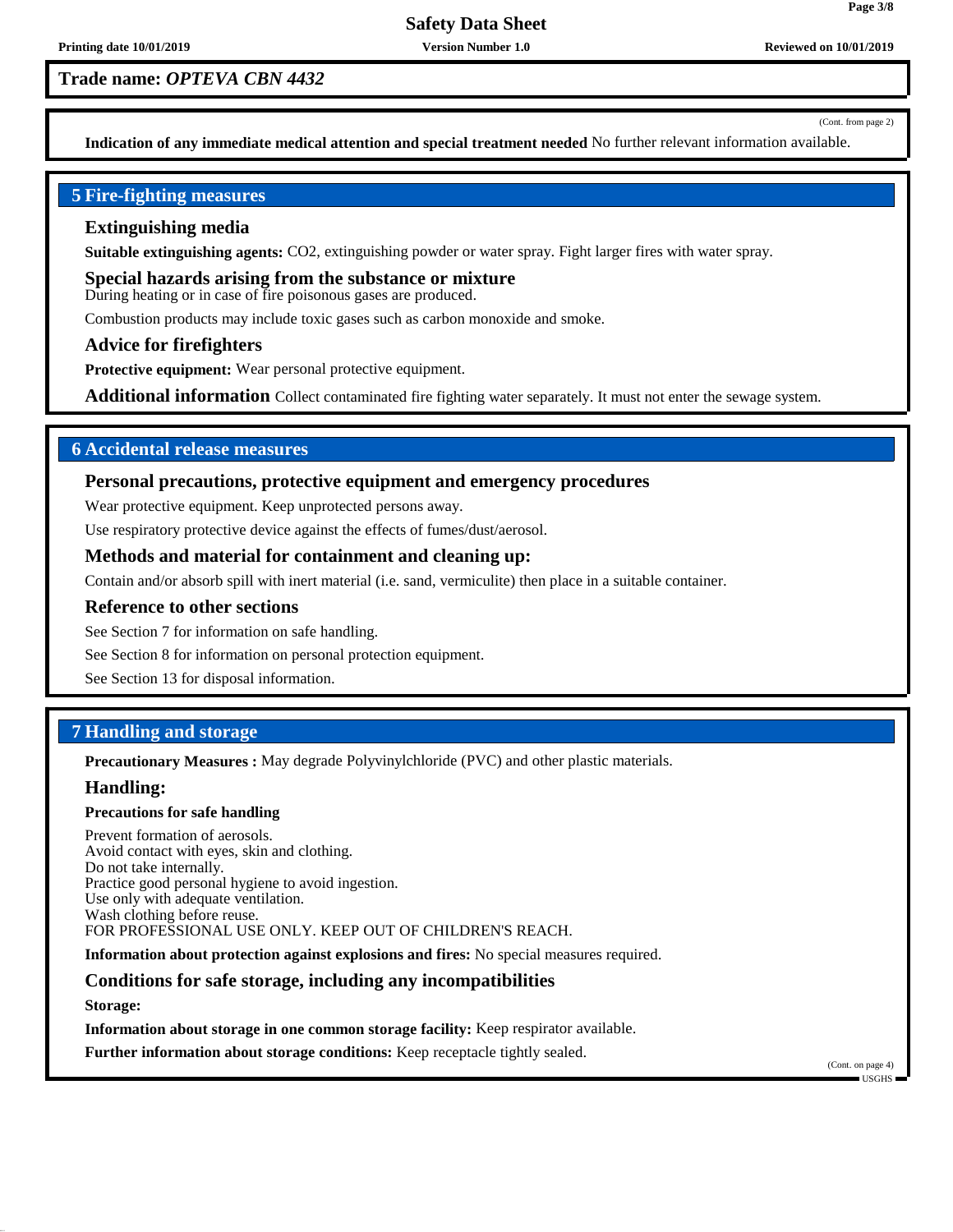**Trade name:** *OPTEVA CBN 4432*

(Cont. from page 2)

**Page 3/8**

**Indication of any immediate medical attention and special treatment needed** No further relevant information available.

## **5 Fire-fighting measures**

#### **Extinguishing media**

**Suitable extinguishing agents:** CO2, extinguishing powder or water spray. Fight larger fires with water spray.

**Special hazards arising from the substance or mixture** During heating or in case of fire poisonous gases are produced.

Combustion products may include toxic gases such as carbon monoxide and smoke.

#### **Advice for firefighters**

**Protective equipment:** Wear personal protective equipment.

**Additional information** Collect contaminated fire fighting water separately. It must not enter the sewage system.

## **6 Accidental release measures**

## **Personal precautions, protective equipment and emergency procedures**

Wear protective equipment. Keep unprotected persons away.

Use respiratory protective device against the effects of fumes/dust/aerosol.

## **Methods and material for containment and cleaning up:**

Contain and/or absorb spill with inert material (i.e. sand, vermiculite) then place in a suitable container.

#### **Reference to other sections**

See Section 7 for information on safe handling.

See Section 8 for information on personal protection equipment.

See Section 13 for disposal information.

## **7 Handling and storage**

**Precautionary Measures :** May degrade Polyvinylchloride (PVC) and other plastic materials.

## **Handling:**

#### **Precautions for safe handling**

Prevent formation of aerosols. Avoid contact with eyes, skin and clothing. Do not take internally. Practice good personal hygiene to avoid ingestion. Use only with adequate ventilation. Wash clothing before reuse. FOR PROFESSIONAL USE ONLY. KEEP OUT OF CHILDREN'S REACH.

**Information about protection against explosions and fires:** No special measures required.

## **Conditions for safe storage, including any incompatibilities**

**Storage:**

**Information about storage in one common storage facility:** Keep respirator available.

**Further information about storage conditions:** Keep receptacle tightly sealed.

(Cont. on page 4) USGHS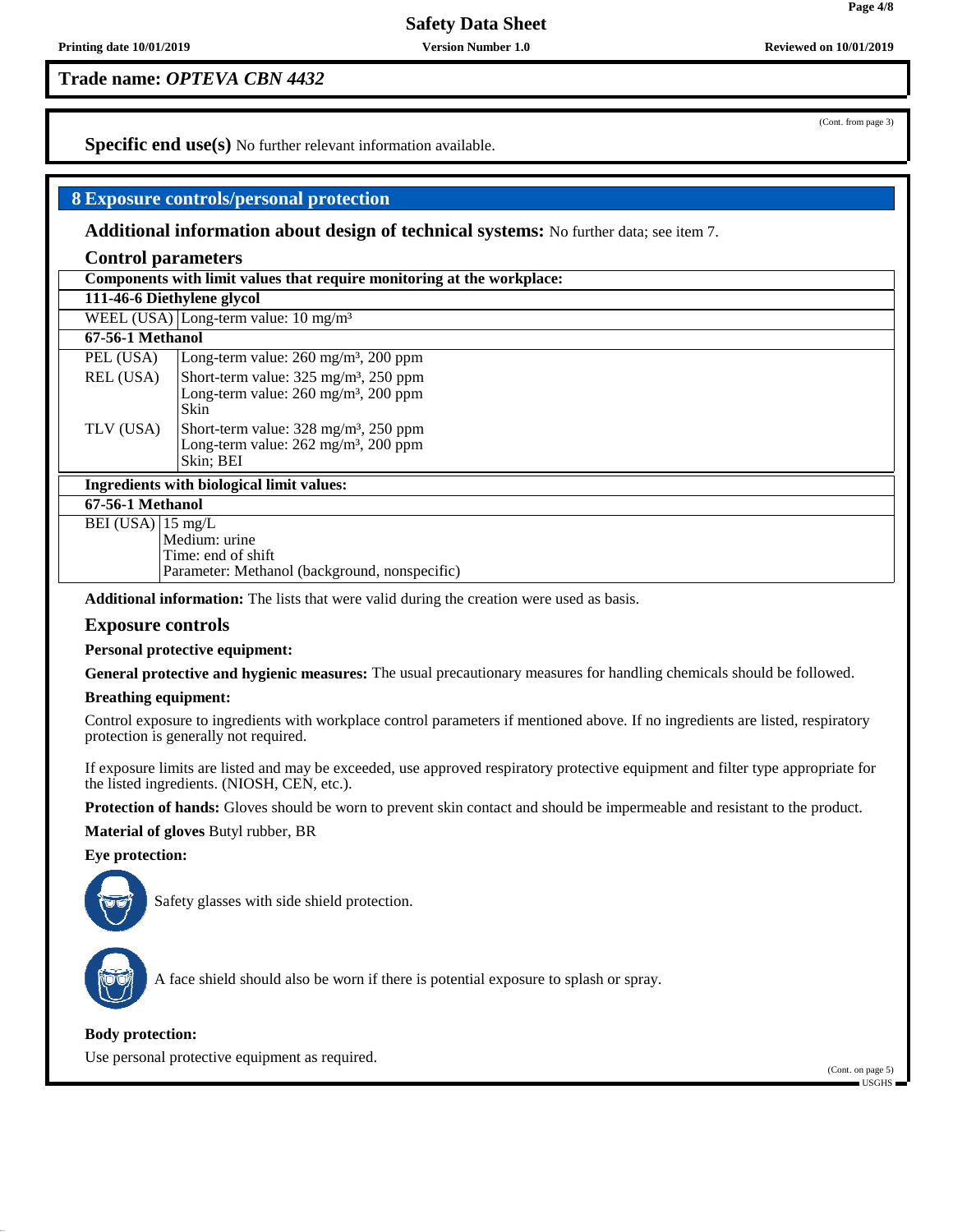**Trade name:** *OPTEVA CBN 4432*

**Specific end use(s)** No further relevant information available.

## **8 Exposure controls/personal protection**

**Additional information about design of technical systems:** No further data; see item 7.

#### **Control parameters**

| Components with limit values that require monitoring at the workplace: |  |
|------------------------------------------------------------------------|--|
| 111-46-6 Diethylene glycol                                             |  |

WEEL (USA) Long-term value:  $10 \text{ mg/m}^3$ 

## **67-56-1 Methanol**

| TLV (USA) | Short-term value: 328 mg/m <sup>3</sup> , 250 ppm<br>Long-term value: 262 mg/m <sup>3</sup> , 200 ppm<br>Skin; BEI      |
|-----------|-------------------------------------------------------------------------------------------------------------------------|
|           | Skin                                                                                                                    |
|           | Short-term value: $325 \text{ mg/m}^3$ , $250 \text{ ppm}$<br>Long-term value: $260 \text{ mg/m}^3$ , $200 \text{ ppm}$ |
| REL (USA) |                                                                                                                         |
| PEL (USA) | Long-term value: $260 \text{ mg/m}^3$ , $200 \text{ ppm}$                                                               |

#### **Ingredients with biological limit values:**

**67-56-1 Methanol**

BEI (USA) 15 mg/L

Medium: urine Time: end of shift

Parameter: Methanol (background, nonspecific)

**Additional information:** The lists that were valid during the creation were used as basis.

## **Exposure controls**

**Personal protective equipment:**

**General protective and hygienic measures:** The usual precautionary measures for handling chemicals should be followed.

#### **Breathing equipment:**

Control exposure to ingredients with workplace control parameters if mentioned above. If no ingredients are listed, respiratory protection is generally not required.

If exposure limits are listed and may be exceeded, use approved respiratory protective equipment and filter type appropriate for the listed ingredients. (NIOSH, CEN, etc.).

**Protection of hands:** Gloves should be worn to prevent skin contact and should be impermeable and resistant to the product.

**Material of gloves** Butyl rubber, BR

**Eye protection:**



Safety glasses with side shield protection.



A face shield should also be worn if there is potential exposure to splash or spray.

## **Body protection:**

Use personal protective equipment as required.

(Cont. on page 5) USGHS

**Page 4/8**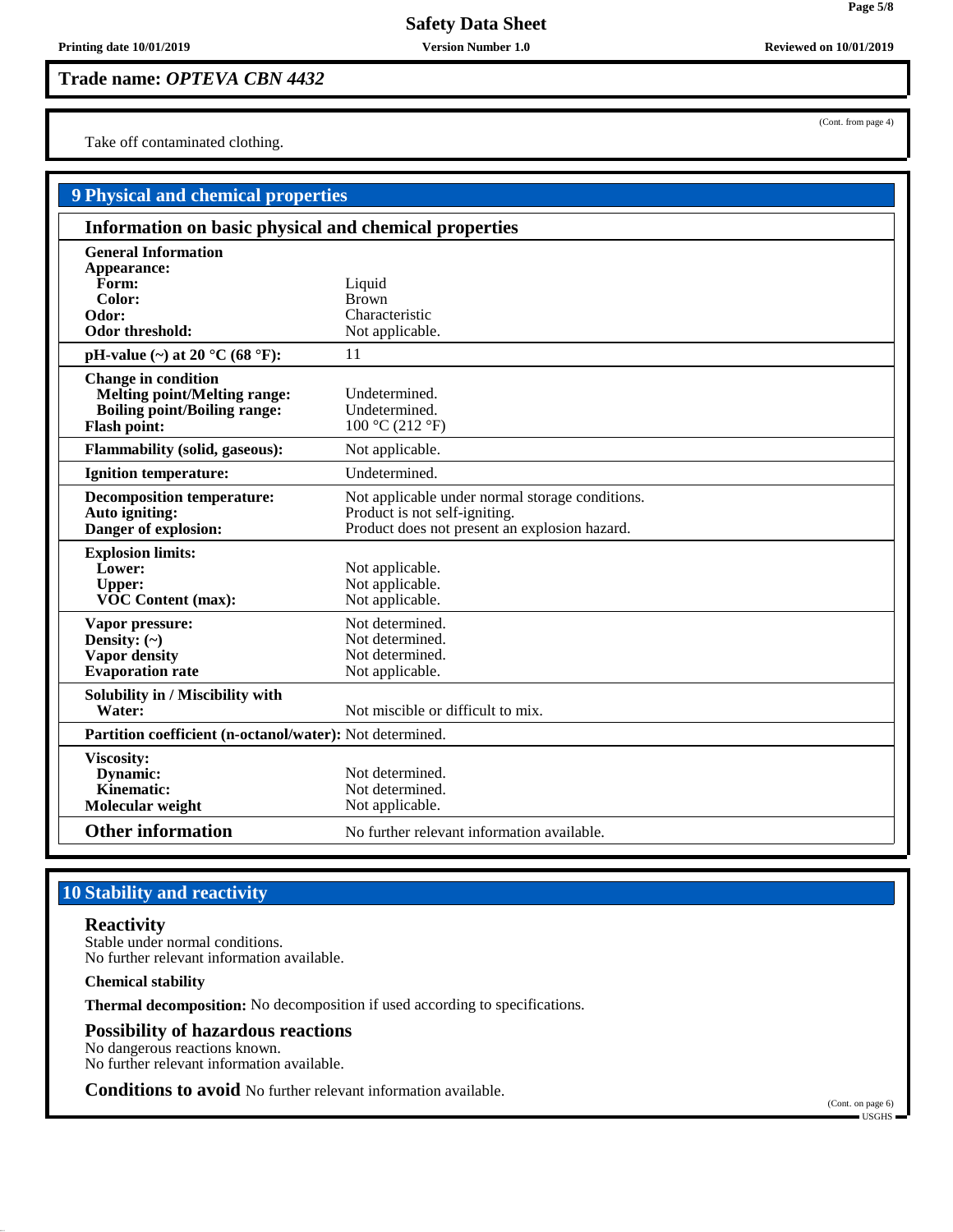**Trade name:** *OPTEVA CBN 4432*

Take off contaminated clothing.

| <b>9 Physical and chemical properties</b>                                                                                       |                                                                                                                                   |  |  |  |
|---------------------------------------------------------------------------------------------------------------------------------|-----------------------------------------------------------------------------------------------------------------------------------|--|--|--|
| Information on basic physical and chemical properties                                                                           |                                                                                                                                   |  |  |  |
| <b>General Information</b><br>Appearance:<br>Form:<br>Color:<br>Odor:<br>Odor threshold:                                        | Liquid<br><b>Brown</b><br>Characteristic<br>Not applicable.                                                                       |  |  |  |
| pH-value $(\sim)$ at 20 °C (68 °F):                                                                                             | 11                                                                                                                                |  |  |  |
| <b>Change in condition</b><br><b>Melting point/Melting range:</b><br><b>Boiling point/Boiling range:</b><br><b>Flash point:</b> | Undetermined.<br>Undetermined.<br>100 °C (212 °F)                                                                                 |  |  |  |
| <b>Flammability (solid, gaseous):</b>                                                                                           | Not applicable.                                                                                                                   |  |  |  |
| <b>Ignition temperature:</b>                                                                                                    | Undetermined.                                                                                                                     |  |  |  |
| <b>Decomposition temperature:</b><br>Auto igniting:<br>Danger of explosion:                                                     | Not applicable under normal storage conditions.<br>Product is not self-igniting.<br>Product does not present an explosion hazard. |  |  |  |
| <b>Explosion limits:</b><br>Lower:<br><b>Upper:</b><br>VOC Content (max):                                                       | Not applicable.<br>Not applicable.<br>Not applicable.                                                                             |  |  |  |
| Vapor pressure:<br>Density: $(\sim)$<br><b>Vapor</b> density<br><b>Evaporation rate</b>                                         | Not determined.<br>Not determined.<br>Not determined.<br>Not applicable.                                                          |  |  |  |
| Solubility in / Miscibility with<br>Water:                                                                                      | Not miscible or difficult to mix.                                                                                                 |  |  |  |
| Partition coefficient (n-octanol/water): Not determined.                                                                        |                                                                                                                                   |  |  |  |
| <b>Viscosity:</b><br>Dynamic:<br><b>Kinematic:</b><br>Molecular weight                                                          | Not determined.<br>Not determined.<br>Not applicable.                                                                             |  |  |  |
| <b>Other information</b>                                                                                                        | No further relevant information available.                                                                                        |  |  |  |

# **10 Stability and reactivity**

## **Reactivity**

Stable under normal conditions. No further relevant information available.

#### **Chemical stability**

**Thermal decomposition:** No decomposition if used according to specifications.

## **Possibility of hazardous reactions**

No dangerous reactions known. No further relevant information available.

**Conditions to avoid** No further relevant information available.

(Cont. on page 6) USGHS

(Cont. from page 4)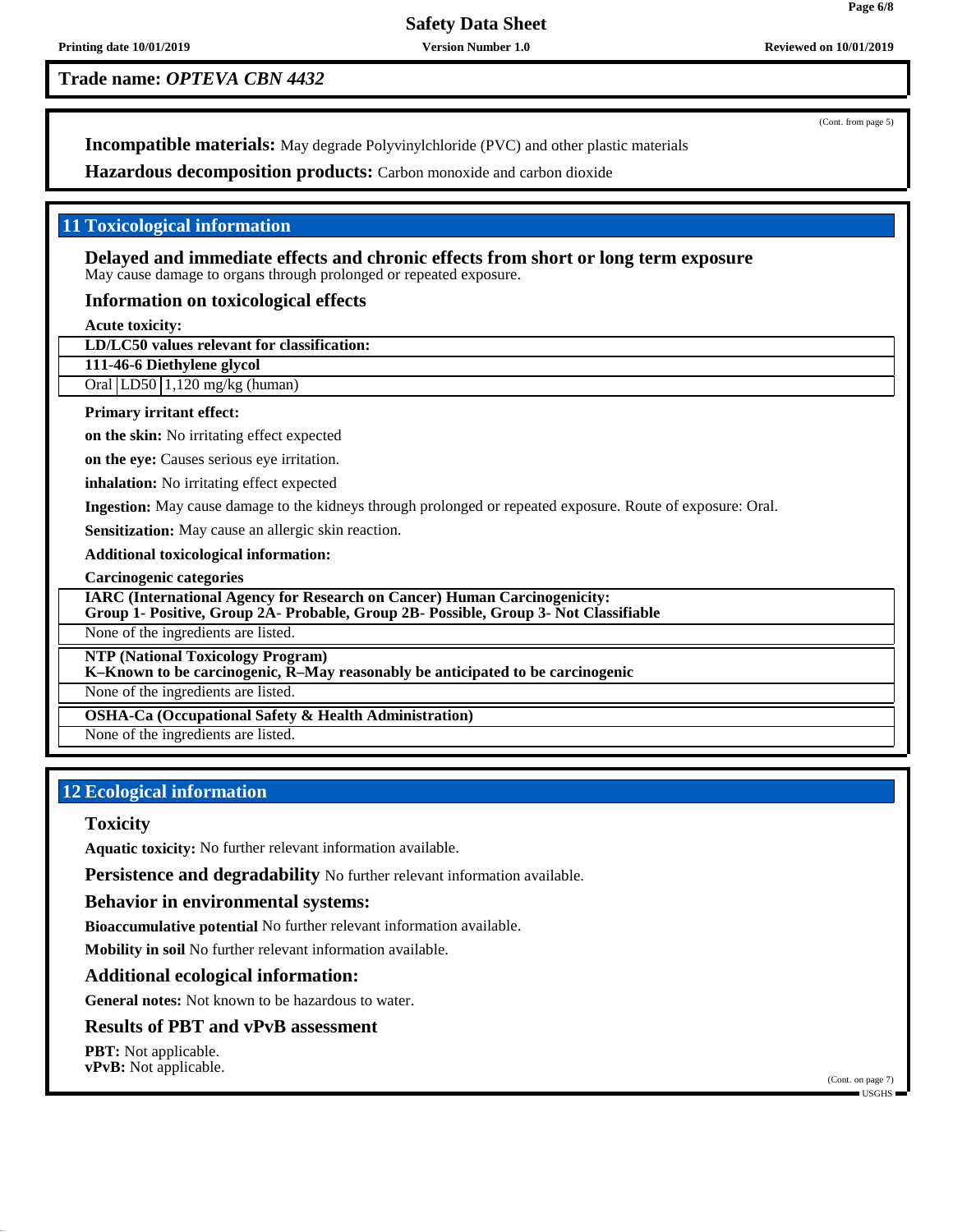**Printing date 10/01/2019 Version Number 1.0 Reviewed on 10/01/2019**

**Trade name:** *OPTEVA CBN 4432*

(Cont. from page 5)

**Incompatible materials:** May degrade Polyvinylchloride (PVC) and other plastic materials

**Hazardous decomposition products:** Carbon monoxide and carbon dioxide

## **11 Toxicological information**

**Delayed and immediate effects and chronic effects from short or long term exposure** May cause damage to organs through prolonged or repeated exposure.

## **Information on toxicological effects**

**Acute toxicity:**

**LD/LC50 values relevant for classification:**

**111-46-6 Diethylene glycol**

Oral LD50 1,120 mg/kg (human)

#### **Primary irritant effect:**

**on the skin:** No irritating effect expected

**on the eye:** Causes serious eye irritation.

**inhalation:** No irritating effect expected

**Ingestion:** May cause damage to the kidneys through prolonged or repeated exposure. Route of exposure: Oral.

**Sensitization:** May cause an allergic skin reaction.

**Additional toxicological information:**

**Carcinogenic categories**

**IARC (International Agency for Research on Cancer) Human Carcinogenicity:**

**Group 1- Positive, Group 2A- Probable, Group 2B- Possible, Group 3- Not Classifiable**

None of the ingredients are listed.

**NTP (National Toxicology Program)**

**K–Known to be carcinogenic, R–May reasonably be anticipated to be carcinogenic**

None of the ingredients are listed.

**OSHA-Ca (Occupational Safety & Health Administration)**

None of the ingredients are listed.

# **12 Ecological information**

## **Toxicity**

**Aquatic toxicity:** No further relevant information available.

**Persistence and degradability** No further relevant information available.

## **Behavior in environmental systems:**

**Bioaccumulative potential** No further relevant information available.

**Mobility in soil** No further relevant information available.

## **Additional ecological information:**

**General notes:** Not known to be hazardous to water.

## **Results of PBT and vPvB assessment**

**PBT:** Not applicable. **vPvB:** Not applicable.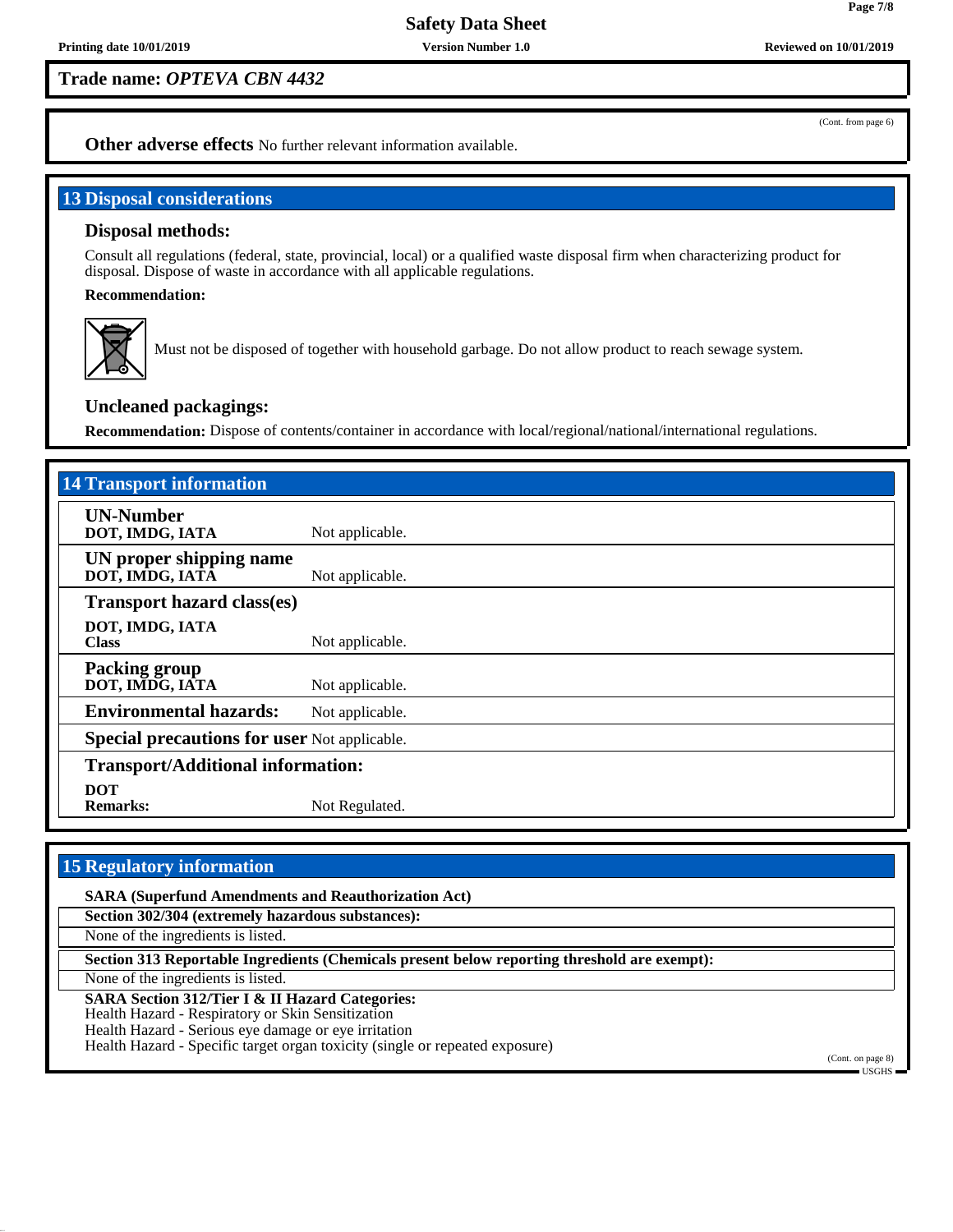**Trade name:** *OPTEVA CBN 4432*

(Cont. from page 6)

**Page 7/8**

**Other adverse effects** No further relevant information available.

## **13 Disposal considerations**

## **Disposal methods:**

Consult all regulations (federal, state, provincial, local) or a qualified waste disposal firm when characterizing product for disposal. Dispose of waste in accordance with all applicable regulations.

#### **Recommendation:**



Must not be disposed of together with household garbage. Do not allow product to reach sewage system.

## **Uncleaned packagings:**

**Recommendation:** Dispose of contents/container in accordance with local/regional/national/international regulations.

| <b>14 Transport information</b>                     |                 |  |
|-----------------------------------------------------|-----------------|--|
| <b>UN-Number</b><br>DOT, IMDG, IATA                 | Not applicable. |  |
| UN proper shipping name<br>DOT, IMDG, IATA          | Not applicable. |  |
| <b>Transport hazard class(es)</b>                   |                 |  |
| DOT, IMDG, IATA<br><b>Class</b>                     | Not applicable. |  |
| <b>Packing group</b><br>DOT, IMDG, IATA             | Not applicable. |  |
| <b>Environmental hazards:</b>                       | Not applicable. |  |
| <b>Special precautions for user Not applicable.</b> |                 |  |
| <b>Transport/Additional information:</b>            |                 |  |
| <b>DOT</b><br><b>Remarks:</b>                       | Not Regulated.  |  |

## **15 Regulatory information**

**SARA (Superfund Amendments and Reauthorization Act) Section 302/304 (extremely hazardous substances):** None of the ingredients is listed. **Section 313 Reportable Ingredients (Chemicals present below reporting threshold are exempt):** None of the ingredients is listed. **SARA Section 312/Tier I & II Hazard Categories:** Health Hazard - Respiratory or Skin Sensitization Health Hazard - Serious eye damage or eye irritation Health Hazard - Specific target organ toxicity (single or repeated exposure)

(Cont. on page 8) USGHS